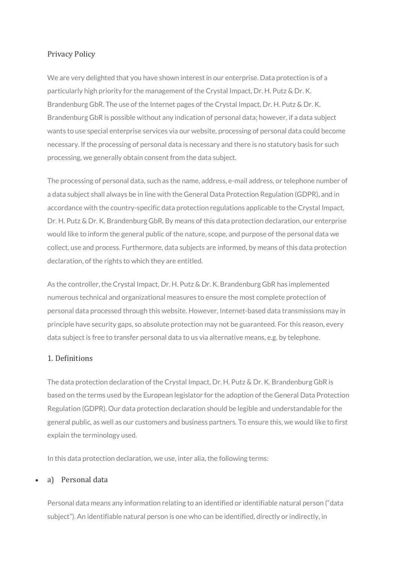# Privacy Policy

We are very delighted that you have shown interest in our enterprise. Data protection is of a particularly high priority for the management of the Crystal Impact, Dr. H. Putz & Dr. K. Brandenburg GbR. The use of the Internet pages of the Crystal Impact, Dr. H. Putz & Dr. K. Brandenburg GbR is possible without any indication of personal data; however, if a data subject wants to use special enterprise services via our website, processing of personal data could become necessary. If the processing of personal data is necessary and there is no statutory basis for such processing, we generally obtain consent from the data subject.

The processing of personal data, such as the name, address, e-mail address, or telephone number of a data subject shall always be in line with the General Data Protection Regulation (GDPR), and in accordance with the country-specific data protection regulations applicable to the Crystal Impact, Dr. H. Putz & Dr. K. Brandenburg GbR. By means of this data protection declaration, our enterprise would like to inform the general public of the nature, scope, and purpose of the personal data we collect, use and process. Furthermore, data subjects are informed, by means of this data protection declaration, of the rights to which they are entitled.

As the controller, the Crystal Impact, Dr. H. Putz & Dr. K. Brandenburg GbR has implemented numerous technical and organizational measures to ensure the most complete protection of personal data processed through this website. However, Internet-based data transmissions may in principle have security gaps, so absolute protection may not be guaranteed. For this reason, every data subject is free to transfer personal data to us via alternative means, e.g. by telephone.

## 1. Definitions

The data protection declaration of the Crystal Impact, Dr. H. Putz & Dr. K. Brandenburg GbR is based on the terms used by the European legislator for the adoption of the General Data Protection Regulation (GDPR). Our data protection declaration should be legible and understandable for the general public, as well as our customers and business partners. To ensure this, we would like to first explain the terminology used.

In this data protection declaration, we use, inter alia, the following terms:

#### a) Personal data

Personal data means any information relating to an identified or identifiable natural person ("data subject"). An identifiable natural person is one who can be identified, directly or indirectly, in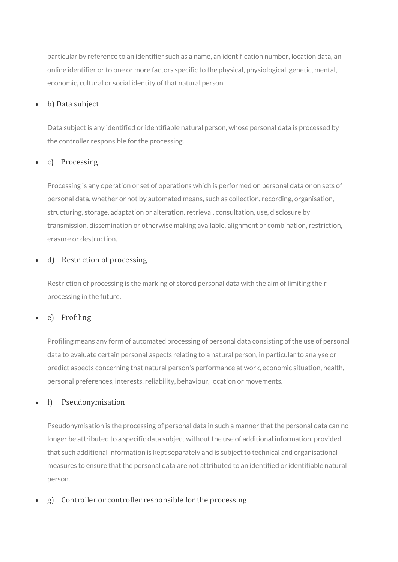particular by reference to an identifier such as a name, an identification number, location data, an online identifier or to one or more factors specific to the physical, physiological, genetic, mental, economic, cultural or social identity of that natural person.

## b) Data subject

Data subject is any identified or identifiable natural person, whose personal data is processed by the controller responsible for the processing.

## c) Processing

Processing is any operation or set of operations which is performed on personal data or on sets of personal data, whether or not by automated means, such as collection, recording, organisation, structuring, storage, adaptation or alteration, retrieval, consultation, use, disclosure by transmission, dissemination or otherwise making available, alignment or combination, restriction, erasure or destruction.

# d) Restriction of processing

Restriction of processing is the marking of stored personal data with the aim of limiting their processing in the future.

# e) Profiling

Profiling means any form of automated processing of personal data consisting of the use of personal data to evaluate certain personal aspects relating to a natural person, in particular to analyse or predict aspects concerning that natural person's performance at work, economic situation, health, personal preferences, interests, reliability, behaviour, location or movements.

## f) Pseudonymisation

Pseudonymisation is the processing of personal data in such a manner that the personal data can no longer be attributed to a specific data subject without the use of additional information, provided that such additional information is kept separately and is subject to technical and organisational measures to ensure that the personal data are not attributed to an identified or identifiable natural person.

g) Controller or controller responsible for the processing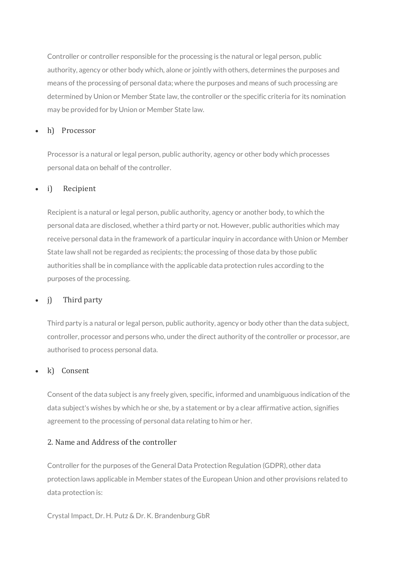Controller or controller responsible for the processing is the natural or legal person, public authority, agency or other body which, alone or jointly with others, determines the purposes and means of the processing of personal data; where the purposes and means of such processing are determined by Union or Member State law, the controller or the specific criteria for its nomination may be provided for by Union or Member State law.

#### h) Processor

Processor is a natural or legal person, public authority, agency or other body which processes personal data on behalf of the controller.

#### i) Recipient

Recipient is a natural or legal person, public authority, agency or another body, to which the personal data are disclosed, whether a third party or not. However, public authorities which may receive personal data in the framework of a particular inquiry in accordance with Union or Member State law shall not be regarded as recipients; the processing of those data by those public authorities shall be in compliance with the applicable data protection rules according to the purposes of the processing.

#### j) Third party

Third party is a natural or legal person, public authority, agency or body other than the data subject, controller, processor and persons who, under the direct authority of the controller or processor, are authorised to process personal data.

#### k) Consent

Consent of the data subject is any freely given, specific, informed and unambiguous indication of the data subject's wishes by which he or she, by a statement or by a clear affirmative action, signifies agreement to the processing of personal data relating to him or her.

#### 2. Name and Address of the controller

Controller for the purposes of the General Data Protection Regulation (GDPR), other data protection laws applicable in Member states of the European Union and other provisions related to data protection is:

Crystal Impact, Dr. H. Putz & Dr. K. Brandenburg GbR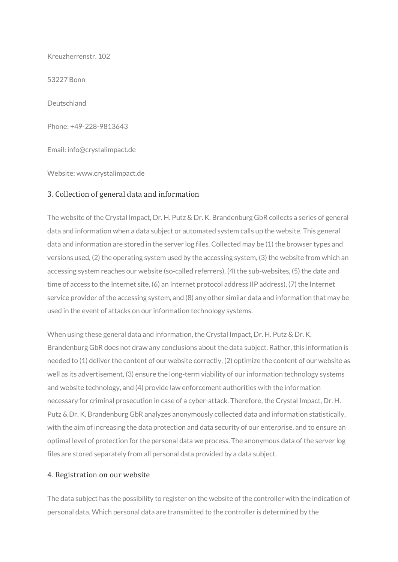Kreuzherrenstr. 102

53227 Bonn

Deutschland

Phone: +49-228-9813643

Email: info@crystalimpact.de

Website: www.crystalimpact.de

#### 3. Collection of general data and information

The website of the Crystal Impact, Dr. H. Putz & Dr. K. Brandenburg GbR collects a series of general data and information when a data subject or automated system calls up the website. This general data and information are stored in the server log files. Collected may be (1) the browser types and versions used, (2) the operating system used by the accessing system, (3) the website from which an accessing system reaches our website (so-called referrers), (4) the sub-websites, (5) the date and time of access to the Internet site, (6) an Internet protocol address (IP address), (7) the Internet service provider of the accessing system, and (8) any other similar data and information that may be used in the event of attacks on our information technology systems.

When using these general data and information, the Crystal Impact, Dr. H. Putz & Dr. K. Brandenburg GbR does not draw any conclusions about the data subject. Rather, this information is needed to (1) deliver the content of our website correctly, (2) optimize the content of our website as well as its advertisement, (3) ensure the long-term viability of our information technology systems and website technology, and (4) provide law enforcement authorities with the information necessary for criminal prosecution in case of a cyber-attack. Therefore, the Crystal Impact, Dr. H. Putz & Dr. K. Brandenburg GbR analyzes anonymously collected data and information statistically, with the aim of increasing the data protection and data security of our enterprise, and to ensure an optimal level of protection for the personal data we process. The anonymous data of the server log files are stored separately from all personal data provided by a data subject.

#### 4. Registration on our website

The data subject has the possibility to register on the website of the controller with the indication of personal data. Which personal data are transmitted to the controller is determined by the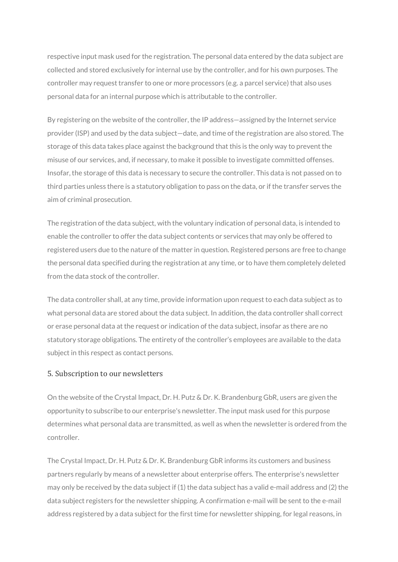respective input mask used for the registration. The personal data entered by the data subject are collected and stored exclusively for internal use by the controller, and for his own purposes. The controller may request transfer to one or more processors (e.g. a parcel service) that also uses personal data for an internal purpose which is attributable to the controller.

By registering on the website of the controller, the IP address—assigned by the Internet service provider (ISP) and used by the data subject—date, and time of the registration are also stored. The storage of this data takes place against the background that this is the only way to prevent the misuse of our services, and, if necessary, to make it possible to investigate committed offenses. Insofar, the storage of this data is necessary to secure the controller. This data is not passed on to third parties unless there is a statutory obligation to pass on the data, or if the transfer serves the aim of criminal prosecution.

The registration of the data subject, with the voluntary indication of personal data, is intended to enable the controller to offer the data subject contents or services that may only be offered to registered users due to the nature of the matter in question. Registered persons are free to change the personal data specified during the registration at any time, or to have them completely deleted from the data stock of the controller.

The data controller shall, at any time, provide information upon request to each data subject as to what personal data are stored about the data subject. In addition, the data controller shall correct or erase personal data at the request or indication of the data subject, insofar as there are no statutory storage obligations. The entirety of the controller's employees are available to the data subject in this respect as contact persons.

#### 5. Subscription to our newsletters

On the website of the Crystal Impact, Dr. H. Putz & Dr. K. Brandenburg GbR, users are given the opportunity to subscribe to our enterprise's newsletter. The input mask used for this purpose determines what personal data are transmitted, as well as when the newsletter is ordered from the controller.

The Crystal Impact, Dr. H. Putz & Dr. K. Brandenburg GbR informs its customers and business partners regularly by means of a newsletter about enterprise offers. The enterprise's newsletter may only be received by the data subject if (1) the data subject has a valid e-mail address and (2) the data subject registers for the newsletter shipping. A confirmation e-mail will be sent to the e-mail address registered by a data subject for the first time for newsletter shipping, for legal reasons, in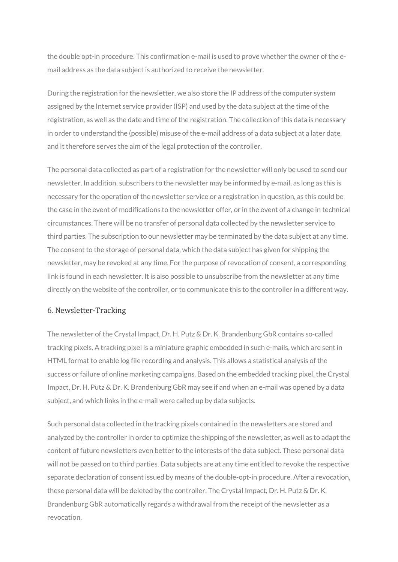the double opt-in procedure. This confirmation e-mail is used to prove whether the owner of the email address as the data subject is authorized to receive the newsletter.

During the registration for the newsletter, we also store the IP address of the computer system assigned by the Internet service provider (ISP) and used by the data subject at the time of the registration, as well as the date and time of the registration. The collection of this data is necessary in order to understand the (possible) misuse of the e-mail address of a data subject at a later date, and it therefore serves the aim of the legal protection of the controller.

The personal data collected as part of a registration for the newsletter will only be used to send our newsletter. In addition, subscribers to the newsletter may be informed by e-mail, as long as this is necessary for the operation of the newsletter service or a registration in question, as this could be the case in the event of modifications to the newsletter offer, or in the event of a change in technical circumstances. There will be no transfer of personal data collected by the newsletter service to third parties. The subscription to our newsletter may be terminated by the data subject at any time. The consent to the storage of personal data, which the data subject has given for shipping the newsletter, may be revoked at any time. For the purpose of revocation of consent, a corresponding link is found in each newsletter. It is also possible to unsubscribe from the newsletter at any time directly on the website of the controller, or to communicate this to the controller in a different way.

#### 6. Newsletter-Tracking

The newsletter of the Crystal Impact, Dr. H. Putz & Dr. K. Brandenburg GbR contains so-called tracking pixels. A tracking pixel is a miniature graphic embedded in such e-mails, which are sent in HTML format to enable log file recording and analysis. This allows a statistical analysis of the success or failure of online marketing campaigns. Based on the embedded tracking pixel, the Crystal Impact, Dr. H. Putz & Dr. K. Brandenburg GbR may see if and when an e-mail was opened by a data subject, and which links in the e-mail were called up by data subjects.

Such personal data collected in the tracking pixels contained in the newsletters are stored and analyzed by the controller in order to optimize the shipping of the newsletter, as well as to adapt the content of future newsletters even better to the interests of the data subject. These personal data will not be passed on to third parties. Data subjects are at any time entitled to revoke the respective separate declaration of consent issued by means of the double-opt-in procedure. After a revocation, these personal data will be deleted by the controller. The Crystal Impact, Dr. H. Putz & Dr. K. Brandenburg GbR automatically regards a withdrawal from the receipt of the newsletter as a revocation.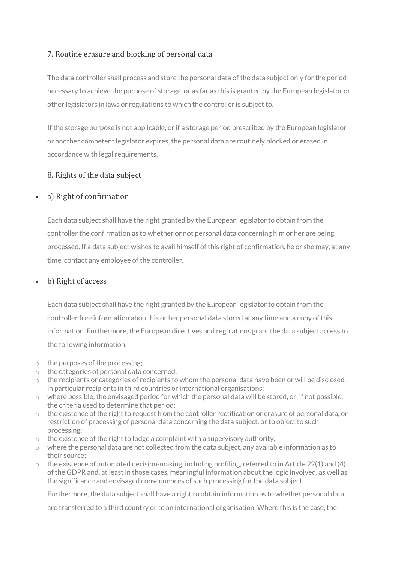# 7. Routine erasure and blocking of personal data

The data controller shall process and store the personal data of the data subject only for the period necessary to achieve the purpose of storage, or as far as this is granted by the European legislator or other legislators in laws or regulations to which the controller is subject to.

If the storage purpose is not applicable, or if a storage period prescribed by the European legislator or another competent legislator expires, the personal data are routinely blocked or erased in accordance with legal requirements.

# 8. Rights of the data subject

## a) Right of confirmation

Each data subject shall have the right granted by the European legislator to obtain from the controller the confirmation as to whether or not personal data concerning him or her are being processed. If a data subject wishes to avail himself of this right of confirmation, he or she may, at any time, contact any employee of the controller.

# b) Right of access

Each data subject shall have the right granted by the European legislator to obtain from the controller free information about his or her personal data stored at any time and a copy of this information. Furthermore, the European directives and regulations grant the data subject access to the following information:

- o the purposes of the processing;
- o the categories of personal data concerned;
- $\circ$  the recipients or categories of recipients to whom the personal data have been or will be disclosed, in particular recipients in third countries or international organisations;
- $\circ$  where possible, the envisaged period for which the personal data will be stored, or, if not possible, the criteria used to determine that period;
- $\circ$  the existence of the right to request from the controller rectification or erasure of personal data, or restriction of processing of personal data concerning the data subject, or to object to such processing;
- $\circ$  the existence of the right to lodge a complaint with a supervisory authority;
- o where the personal data are not collected from the data subject, any available information as to their source;
- $\circ$  the existence of automated decision-making, including profiling, referred to in Article 22(1) and (4) of the GDPR and, at least in those cases, meaningful information about the logic involved, as well as the significance and envisaged consequences of such processing for the data subject.

Furthermore, the data subject shall have a right to obtain information as to whether personal data

are transferred to a third country or to an international organisation. Where this is the case, the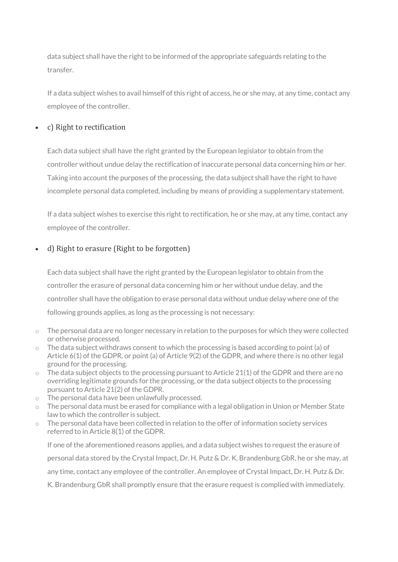data subject shall have the right to be informed of the appropriate safeguards relating to the transfer.

If a data subject wishes to avail himself of this right of access, he or she may, at any time, contact any employee of the controller.

# c) Right to rectification

Each data subject shall have the right granted by the European legislator to obtain from the controller without undue delay the rectification of inaccurate personal data concerning him or her. Taking into account the purposes of the processing, the data subject shall have the right to have incomplete personal data completed, including by means of providing a supplementary statement.

If a data subject wishes to exercise this right to rectification, he or she may, at any time, contact any employee of the controller.

# d) Right to erasure (Right to be forgotten)

Each data subject shall have the right granted by the European legislator to obtain from the controller the erasure of personal data concerning him or her without undue delay, and the controller shall have the obligation to erase personal data without undue delay where one of the following grounds applies, as long as the processing is not necessary:

- $\circ$  The personal data are no longer necessary in relation to the purposes for which they were collected or otherwise processed.
- $\circ$  The data subject withdraws consent to which the processing is based according to point (a) of Article 6(1) of the GDPR, or point (a) of Article 9(2) of the GDPR, and where there is no other legal ground for the processing.
- $\circ$  The data subject objects to the processing pursuant to Article 21(1) of the GDPR and there are no overriding legitimate grounds for the processing, or the data subject objects to the processing pursuant to Article 21(2) of the GDPR.
- o The personal data have been unlawfully processed.
- $\circ$  The personal data must be erased for compliance with a legal obligation in Union or Member State law to which the controller is subject.
- $\circ$  The personal data have been collected in relation to the offer of information society services referred to in Article 8(1) of the GDPR.

If one of the aforementioned reasons applies, and a data subject wishes to request the erasure of personal data stored by the Crystal Impact, Dr. H. Putz & Dr. K. Brandenburg GbR, he or she may, at any time, contact any employee of the controller. An employee of Crystal Impact, Dr. H. Putz & Dr. K. Brandenburg GbR shall promptly ensure that the erasure request is complied with immediately.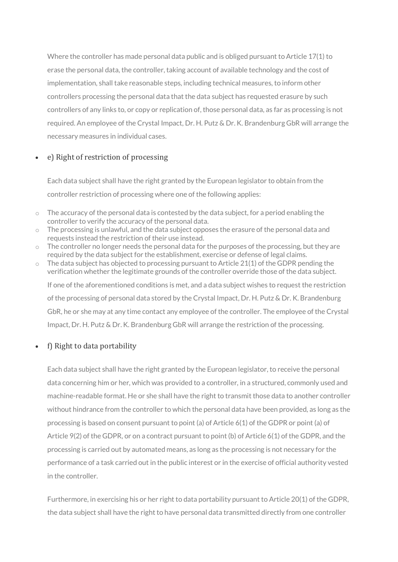Where the controller has made personal data public and is obliged pursuant to Article 17(1) to erase the personal data, the controller, taking account of available technology and the cost of implementation, shall take reasonable steps, including technical measures, to inform other controllers processing the personal data that the data subject has requested erasure by such controllers of any links to, or copy or replication of, those personal data, as far as processing is not required. An employee of the Crystal Impact, Dr. H. Putz & Dr. K. Brandenburg GbR will arrange the necessary measures in individual cases.

#### e) Right of restriction of processing

Each data subject shall have the right granted by the European legislator to obtain from the controller restriction of processing where one of the following applies:

- $\circ$  The accuracy of the personal data is contested by the data subject, for a period enabling the controller to verify the accuracy of the personal data.
- o The processing is unlawful, and the data subject opposes the erasure of the personal data and requests instead the restriction of their use instead.
- $\circ$  The controller no longer needs the personal data for the purposes of the processing, but they are required by the data subject for the establishment, exercise or defense of legal claims.
- $\circ$  The data subject has objected to processing pursuant to Article 21(1) of the GDPR pending the verification whether the legitimate grounds of the controller override those of the data subject. If one of the aforementioned conditions is met, and a data subject wishes to request the restriction of the processing of personal data stored by the Crystal Impact, Dr. H. Putz & Dr. K. Brandenburg GbR, he or she may at any time contact any employee of the controller. The employee of the Crystal Impact, Dr. H. Putz & Dr. K. Brandenburg GbR will arrange the restriction of the processing.

## f) Right to data portability

Each data subject shall have the right granted by the European legislator, to receive the personal data concerning him or her, which was provided to a controller, in a structured, commonly used and machine-readable format. He or she shall have the right to transmit those data to another controller without hindrance from the controller to which the personal data have been provided, as long as the processing is based on consent pursuant to point (a) of Article 6(1) of the GDPR or point (a) of Article 9(2) of the GDPR, or on a contract pursuant to point (b) of Article 6(1) of the GDPR, and the processing is carried out by automated means, as long as the processing is not necessary for the performance of a task carried out in the public interest or in the exercise of official authority vested in the controller.

Furthermore, in exercising his or her right to data portability pursuant to Article 20(1) of the GDPR, the data subject shall have the right to have personal data transmitted directly from one controller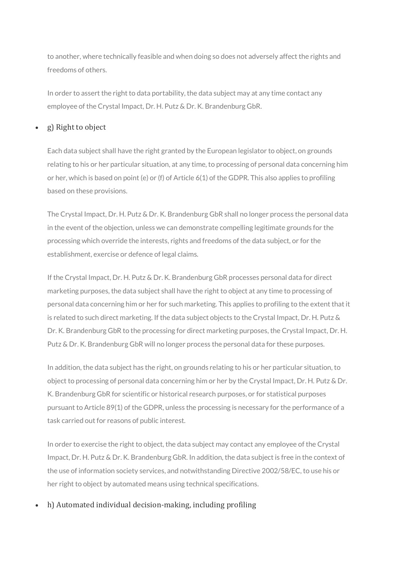to another, where technically feasible and when doing so does not adversely affect the rights and freedoms of others.

In order to assert the right to data portability, the data subject may at any time contact any employee of the Crystal Impact, Dr. H. Putz & Dr. K. Brandenburg GbR.

## g) Right to object

Each data subject shall have the right granted by the European legislator to object, on grounds relating to his or her particular situation, at any time, to processing of personal data concerning him or her, which is based on point (e) or (f) of Article 6(1) of the GDPR. This also applies to profiling based on these provisions.

The Crystal Impact, Dr. H. Putz & Dr. K. Brandenburg GbR shall no longer process the personal data in the event of the objection, unless we can demonstrate compelling legitimate grounds for the processing which override the interests, rights and freedoms of the data subject, or for the establishment, exercise or defence of legal claims.

If the Crystal Impact, Dr. H. Putz & Dr. K. Brandenburg GbR processes personal data for direct marketing purposes, the data subject shall have the right to object at any time to processing of personal data concerning him or her for such marketing. This applies to profiling to the extent that it is related to such direct marketing. If the data subject objects to the Crystal Impact, Dr. H. Putz & Dr. K. Brandenburg GbR to the processing for direct marketing purposes, the Crystal Impact, Dr. H. Putz & Dr. K. Brandenburg GbR will no longer process the personal data for these purposes.

In addition, the data subject has the right, on grounds relating to his or her particular situation, to object to processing of personal data concerning him or her by the Crystal Impact, Dr. H. Putz & Dr. K. Brandenburg GbR for scientific or historical research purposes, or for statistical purposes pursuant to Article 89(1) of the GDPR, unless the processing is necessary for the performance of a task carried out for reasons of public interest.

In order to exercise the right to object, the data subject may contact any employee of the Crystal Impact, Dr. H. Putz & Dr. K. Brandenburg GbR. In addition, the data subject is free in the context of the use of information society services, and notwithstanding Directive 2002/58/EC, to use his or her right to object by automated means using technical specifications.

h) Automated individual decision-making, including profiling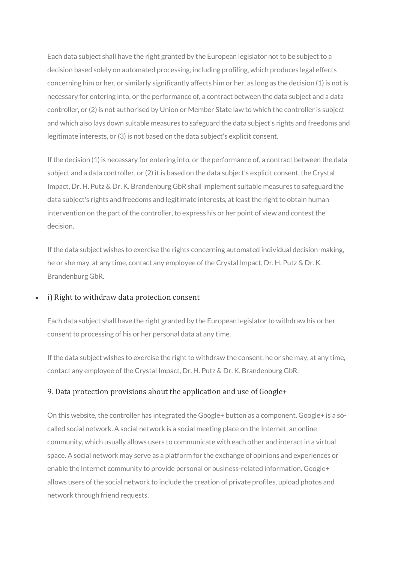Each data subject shall have the right granted by the European legislator not to be subject to a decision based solely on automated processing, including profiling, which produces legal effects concerning him or her, or similarly significantly affects him or her, as long as the decision (1) is not is necessary for entering into, or the performance of, a contract between the data subject and a data controller, or (2) is not authorised by Union or Member State law to which the controller is subject and which also lays down suitable measures to safeguard the data subject's rights and freedoms and legitimate interests, or (3) is not based on the data subject's explicit consent.

If the decision (1) is necessary for entering into, or the performance of, a contract between the data subject and a data controller, or (2) it is based on the data subject's explicit consent, the Crystal Impact, Dr. H. Putz & Dr. K. Brandenburg GbR shall implement suitable measures to safeguard the data subject's rights and freedoms and legitimate interests, at least the right to obtain human intervention on the part of the controller, to express his or her point of view and contest the decision.

If the data subject wishes to exercise the rights concerning automated individual decision-making, he or she may, at any time, contact any employee of the Crystal Impact, Dr. H. Putz & Dr. K. Brandenburg GbR.

#### i) Right to withdraw data protection consent

Each data subject shall have the right granted by the European legislator to withdraw his or her consent to processing of his or her personal data at any time.

If the data subject wishes to exercise the right to withdraw the consent, he or she may, at any time, contact any employee of the Crystal Impact, Dr. H. Putz & Dr. K. Brandenburg GbR.

#### 9. Data protection provisions about the application and use of Google+

On this website, the controller has integrated the Google+ button as a component. Google+ is a socalled social network. A social network is a social meeting place on the Internet, an online community, which usually allows users to communicate with each other and interact in a virtual space. A social network may serve as a platform for the exchange of opinions and experiences or enable the Internet community to provide personal or business-related information. Google+ allows users of the social network to include the creation of private profiles, upload photos and network through friend requests.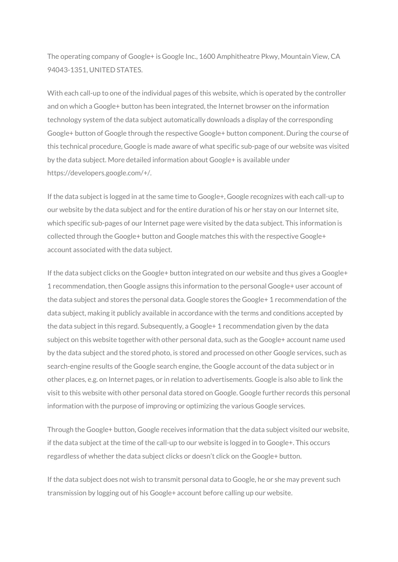The operating company of Google+ is Google Inc., 1600 Amphitheatre Pkwy, Mountain View, CA 94043-1351, UNITED STATES.

With each call-up to one of the individual pages of this website, which is operated by the controller and on which a Google+ button has been integrated, the Internet browser on the information technology system of the data subject automatically downloads a display of the corresponding Google+ button of Google through the respective Google+ button component. During the course of this technical procedure, Google is made aware of what specific sub-page of our website was visited by the data subject. More detailed information about Google+ is available under https://developers.google.com/+/.

If the data subject is logged in at the same time to Google+, Google recognizes with each call-up to our website by the data subject and for the entire duration of his or her stay on our Internet site, which specific sub-pages of our Internet page were visited by the data subject. This information is collected through the Google+ button and Google matches this with the respective Google+ account associated with the data subject.

If the data subject clicks on the Google+ button integrated on our website and thus gives a Google+ 1 recommendation, then Google assigns this information to the personal Google+ user account of the data subject and stores the personal data. Google stores the Google+ 1 recommendation of the data subject, making it publicly available in accordance with the terms and conditions accepted by the data subject in this regard. Subsequently, a Google+ 1 recommendation given by the data subject on this website together with other personal data, such as the Google+ account name used by the data subject and the stored photo, is stored and processed on other Google services, such as search-engine results of the Google search engine, the Google account of the data subject or in other places, e.g. on Internet pages, or in relation to advertisements. Google is also able to link the visit to this website with other personal data stored on Google. Google further records this personal information with the purpose of improving or optimizing the various Google services.

Through the Google+ button, Google receives information that the data subject visited our website, if the data subject at the time of the call-up to our website is logged in to Google+. This occurs regardless of whether the data subject clicks or doesn't click on the Google+ button.

If the data subject does not wish to transmit personal data to Google, he or she may prevent such transmission by logging out of his Google+ account before calling up our website.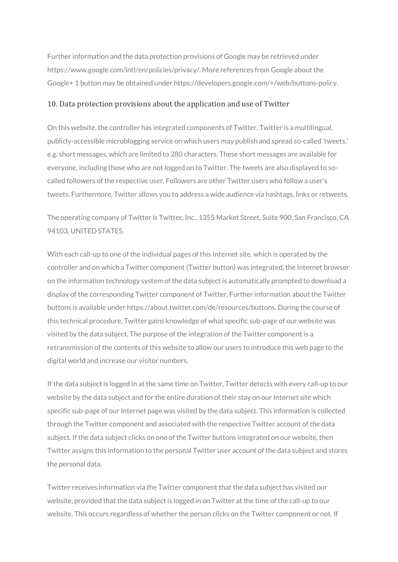Further information and the data protection provisions of Google may be retrieved under https://www.google.com/intl/en/policies/privacy/. More references from Google about the Google+ 1 button may be obtained under https://developers.google.com/+/web/buttons-policy.

#### 10. Data protection provisions about the application and use of Twitter

On this website, the controller has integrated components of Twitter. Twitter is a multilingual, publicly-accessible microblogging service on which users may publish and spread so-called 'tweets,' e.g. short messages, which are limited to 280 characters. These short messages are available for everyone, including those who are not logged on to Twitter. The tweets are also displayed to socalled followers of the respective user. Followers are other Twitter users who follow a user's tweets. Furthermore, Twitter allows you to address a wide audience via hashtags, links or retweets.

The operating company of Twitter is Twitter, Inc., 1355 Market Street, Suite 900, San Francisco, CA 94103, UNITED STATES.

With each call-up to one of the individual pages of this Internet site, which is operated by the controller and on which a Twitter component (Twitter button) was integrated, the Internet browser on the information technology system of the data subject is automatically prompted to download a display of the corresponding Twitter component of Twitter. Further information about the Twitter buttons is available under https://about.twitter.com/de/resources/buttons. During the course of this technical procedure, Twitter gains knowledge of what specific sub-page of our website was visited by the data subject. The purpose of the integration of the Twitter component is a retransmission of the contents of this website to allow our users to introduce this web page to the digital world and increase our visitor numbers.

If the data subject is logged in at the same time on Twitter, Twitter detects with every call-up to our website by the data subject and for the entire duration of their stay on our Internet site which specific sub-page of our Internet page was visited by the data subject. This information is collected through the Twitter component and associated with the respective Twitter account of the data subject. If the data subject clicks on one of the Twitter buttons integrated on our website, then Twitter assigns this information to the personal Twitter user account of the data subject and stores the personal data.

Twitter receives information via the Twitter component that the data subject has visited our website, provided that the data subject is logged in on Twitter at the time of the call-up to our website. This occurs regardless of whether the person clicks on the Twitter component or not. If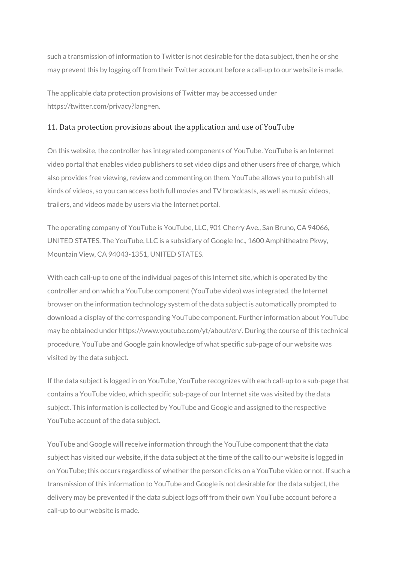such a transmission of information to Twitter is not desirable for the data subject, then he or she may prevent this by logging off from their Twitter account before a call-up to our website is made.

The applicable data protection provisions of Twitter may be accessed under https://twitter.com/privacy?lang=en.

#### 11. Data protection provisions about the application and use of YouTube

On this website, the controller has integrated components of YouTube. YouTube is an Internet video portal that enables video publishers to set video clips and other users free of charge, which also provides free viewing, review and commenting on them. YouTube allows you to publish all kinds of videos, so you can access both full movies and TV broadcasts, as well as music videos, trailers, and videos made by users via the Internet portal.

The operating company of YouTube is YouTube, LLC, 901 Cherry Ave., San Bruno, CA 94066, UNITED STATES. The YouTube, LLC is a subsidiary of Google Inc., 1600 Amphitheatre Pkwy, Mountain View, CA 94043-1351, UNITED STATES.

With each call-up to one of the individual pages of this Internet site, which is operated by the controller and on which a YouTube component (YouTube video) was integrated, the Internet browser on the information technology system of the data subject is automatically prompted to download a display of the corresponding YouTube component. Further information about YouTube may be obtained under https://www.youtube.com/yt/about/en/. During the course of this technical procedure, YouTube and Google gain knowledge of what specific sub-page of our website was visited by the data subject.

If the data subject is logged in on YouTube, YouTube recognizes with each call-up to a sub-page that contains a YouTube video, which specific sub-page of our Internet site was visited by the data subject. This information is collected by YouTube and Google and assigned to the respective YouTube account of the data subject.

YouTube and Google will receive information through the YouTube component that the data subject has visited our website, if the data subject at the time of the call to our website is logged in on YouTube; this occurs regardless of whether the person clicks on a YouTube video or not. If such a transmission of this information to YouTube and Google is not desirable for the data subject, the delivery may be prevented if the data subject logs off from their own YouTube account before a call-up to our website is made.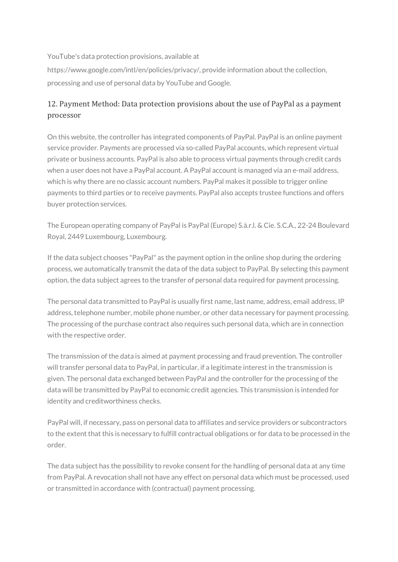YouTube's data protection provisions, available at

https://www.google.com/intl/en/policies/privacy/, provide information about the collection, processing and use of personal data by YouTube and Google.

# 12. Payment Method: Data protection provisions about the use of PayPal as a payment processor

On this website, the controller has integrated components of PayPal. PayPal is an online payment service provider. Payments are processed via so-called PayPal accounts, which represent virtual private or business accounts. PayPal is also able to process virtual payments through credit cards when a user does not have a PayPal account. A PayPal account is managed via an e-mail address, which is why there are no classic account numbers. PayPal makes it possible to trigger online payments to third parties or to receive payments. PayPal also accepts trustee functions and offers buyer protection services.

The European operating company of PayPal is PayPal (Europe) S.à.r.l. & Cie. S.C.A., 22-24 Boulevard Royal, 2449 Luxembourg, Luxembourg.

If the data subject chooses "PayPal" as the payment option in the online shop during the ordering process, we automatically transmit the data of the data subject to PayPal. By selecting this payment option, the data subject agrees to the transfer of personal data required for payment processing.

The personal data transmitted to PayPal is usually first name, last name, address, email address, IP address, telephone number, mobile phone number, or other data necessary for payment processing. The processing of the purchase contract also requires such personal data, which are in connection with the respective order.

The transmission of the data is aimed at payment processing and fraud prevention. The controller will transfer personal data to PayPal, in particular, if a legitimate interest in the transmission is given. The personal data exchanged between PayPal and the controller for the processing of the data will be transmitted by PayPal to economic credit agencies. This transmission is intended for identity and creditworthiness checks.

PayPal will, if necessary, pass on personal data to affiliates and service providers or subcontractors to the extent that this is necessary to fulfill contractual obligations or for data to be processed in the order.

The data subject has the possibility to revoke consent for the handling of personal data at any time from PayPal. A revocation shall not have any effect on personal data which must be processed, used or transmitted in accordance with (contractual) payment processing.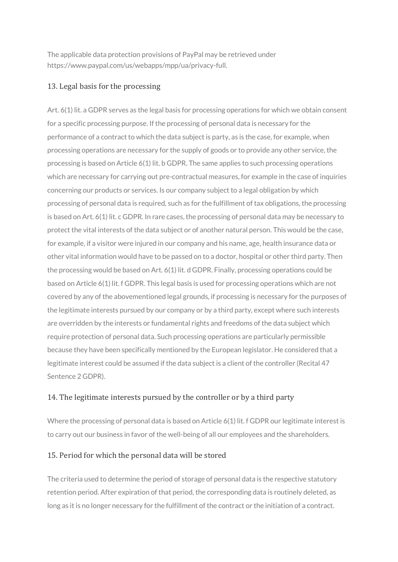The applicable data protection provisions of PayPal may be retrieved under https://www.paypal.com/us/webapps/mpp/ua/privacy-full.

# 13. Legal basis for the processing

Art. 6(1) lit. a GDPR serves as the legal basis for processing operations for which we obtain consent for a specific processing purpose. If the processing of personal data is necessary for the performance of a contract to which the data subject is party, as is the case, for example, when processing operations are necessary for the supply of goods or to provide any other service, the processing is based on Article 6(1) lit. b GDPR. The same applies to such processing operations which are necessary for carrying out pre-contractual measures, for example in the case of inquiries concerning our products or services. Is our company subject to a legal obligation by which processing of personal data is required, such as for the fulfillment of tax obligations, the processing is based on Art. 6(1) lit. c GDPR. In rare cases, the processing of personal data may be necessary to protect the vital interests of the data subject or of another natural person. This would be the case, for example, if a visitor were injured in our company and his name, age, health insurance data or other vital information would have to be passed on to a doctor, hospital or other third party. Then the processing would be based on Art. 6(1) lit. d GDPR. Finally, processing operations could be based on Article 6(1) lit. f GDPR. This legal basis is used for processing operations which are not covered by any of the abovementioned legal grounds, if processing is necessary for the purposes of the legitimate interests pursued by our company or by a third party, except where such interests are overridden by the interests or fundamental rights and freedoms of the data subject which require protection of personal data. Such processing operations are particularly permissible because they have been specifically mentioned by the European legislator. He considered that a legitimate interest could be assumed if the data subject is a client of the controller (Recital 47 Sentence 2 GDPR).

# 14. The legitimate interests pursued by the controller or by a third party

Where the processing of personal data is based on Article 6(1) lit. f GDPR our legitimate interest is to carry out our business in favor of the well-being of all our employees and the shareholders.

# 15. Period for which the personal data will be stored

The criteria used to determine the period of storage of personal data is the respective statutory retention period. After expiration of that period, the corresponding data is routinely deleted, as long as it is no longer necessary for the fulfillment of the contract or the initiation of a contract.